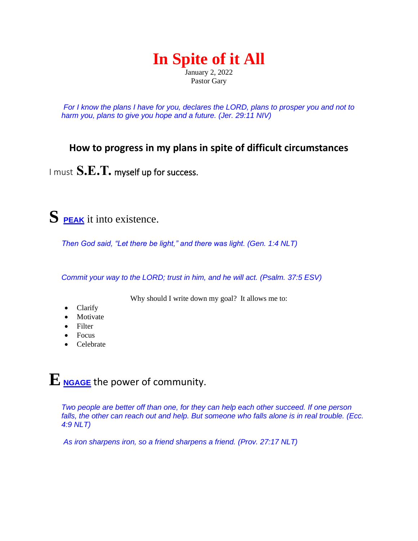# **In Spite of it All**

January 2, 2022 Pastor Gary

*For I know the plans I have for you, declares the LORD, plans to prosper you and not to harm you, plans to give you hope and a future. (Jer. 29:11 NIV)*

### **How to progress in my plans in spite of difficult circumstances**

I must **S.E.T.** myself up for success.

## **S PEAK** it into existence.

*Then God said, "Let there be light," and there was light. (Gen. 1:4 NLT)*

*Commit your way to the LORD; trust in him, and he will act. (Psalm. 37:5 ESV)*

Why should I write down my goal? It allows me to:

- Clarify
- Motivate
- Filter
- Focus
- Celebrate

## **E NGAGE** the power of community.

*Two people are better off than one, for they can help each other succeed. If one person falls, the other can reach out and help. But someone who falls alone is in real trouble. (Ecc. 4:9 NLT)*

*As iron sharpens iron, so a friend sharpens a friend. (Prov. 27:17 NLT)*